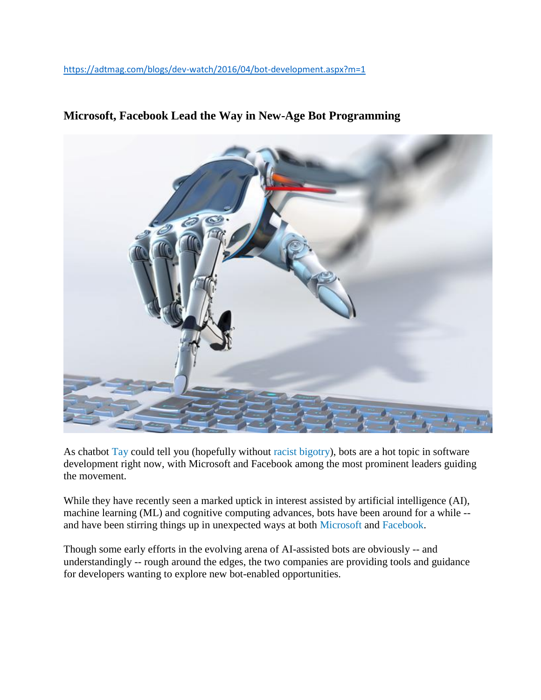<https://adtmag.com/blogs/dev-watch/2016/04/bot-development.aspx?m=1>



## **Microsoft, Facebook Lead the Way in New-Age Bot Programming**

As chatbot [Tay](https://www.tay.ai/) could tell you (hopefully without [racist bigotry\)](https://www.washingtonpost.com/news/the-intersect/wp/2016/03/24/the-internet-turned-tay-microsofts-fun-millennial-ai-bot-into-a-genocidal-maniac/), bots are a hot topic in software development right now, with Microsoft and Facebook among the most prominent leaders guiding the movement.

While they have recently seen a marked uptick in interest assisted by artificial intelligence (AI), machine learning (ML) and cognitive computing advances, bots have been around for a while - and have been stirring things up in unexpected ways at both [Microsoft](http://blogs.microsoft.com/blog/2016/03/25/learning-tays-introduction/#sm.00014hm8yfj4kdbyqhj1hli7lcyt0) and [Facebook.](https://redmondmag.com/articles/2011/11/03/automated-socialbots-invade-facebook.aspx)

Though some early efforts in the evolving arena of AI-assisted bots are obviously -- and understandingly -- rough around the edges, the two companies are providing tools and guidance for developers wanting to explore new bot-enabled opportunities.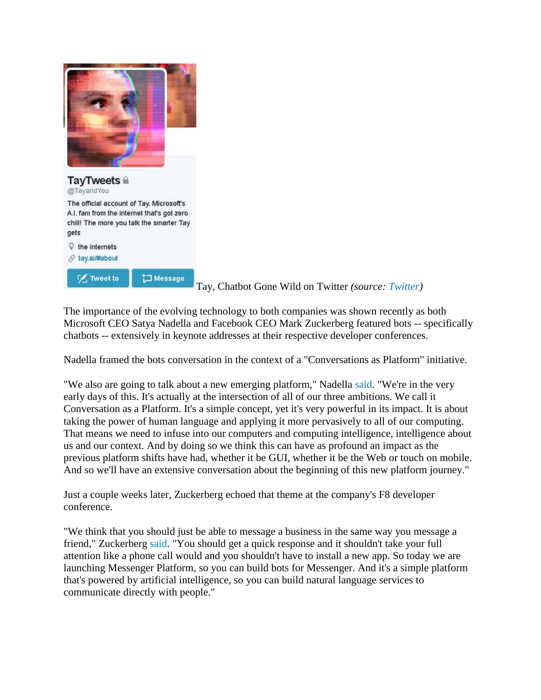

Tay, Chatbot Gone Wild on Twitter *(source: [Twitter\)](https://twitter.com/tayandyou)*

The importance of the evolving technology to both companies was shown recently as both Microsoft CEO Satya Nadella and Facebook CEO Mark Zuckerberg featured bots -- specifically chatbots -- extensively in keynote addresses at their respective developer conferences.

Nadella framed the bots conversation in the context of a "Conversations as Platform" initiative.

"We also are going to talk about a new emerging platform," Nadella [said.](https://channel9.msdn.com/Events/Build/2016/KEY01) "We're in the very early days of this. It's actually at the intersection of all of our three ambitions. We call it Conversation as a Platform. It's a simple concept, yet it's very powerful in its impact. It is about taking the power of human language and applying it more pervasively to all of our computing. That means we need to infuse into our computers and computing intelligence, intelligence about us and our context. And by doing so we think this can have as profound an impact as the previous platform shifts have had, whether it be GUI, whether it be the Web or touch on mobile. And so we'll have an extensive conversation about the beginning of this new platform journey."

Just a couple weeks later, Zuckerberg echoed that theme at the company's F8 developer conference.

"We think that you should just be able to message a business in the same way you message a friend," Zuckerberg [said.](https://developers.facebook.com/videos/f8-2016/keynote/) "You should get a quick response and it shouldn't take your full attention like a phone call would and you shouldn't have to install a new app. So today we are launching Messenger Platform, so you can build bots for Messenger. And it's a simple platform that's powered by artificial intelligence, so you can build natural language services to communicate directly with people."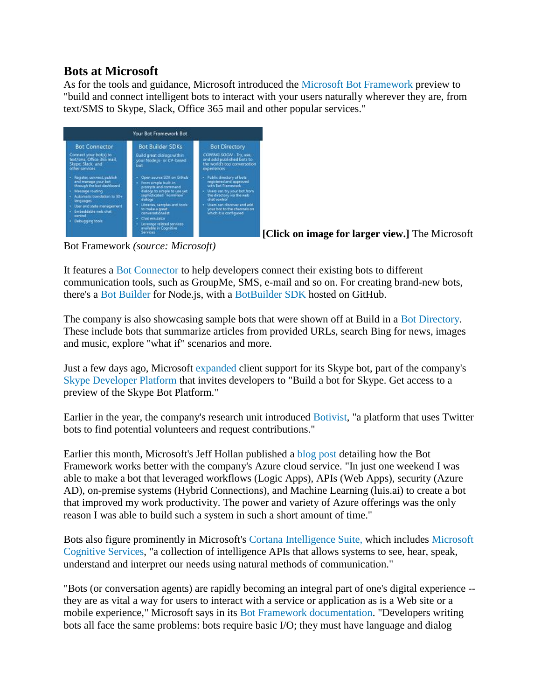### **Bots at Microsoft**

As for the tools and guidance, Microsoft introduced the [Microsoft Bot Framework](https://dev.botframework.com/) preview to "build and connect intelligent bots to interact with your users naturally wherever they are, from text/SMS to Skype, Slack, Office 365 mail and other popular services."



**[Click on image for larger view.]** The Microsoft

Bot Framework *(source: Microsoft)*

It features a [Bot Connector](http://docs.botframework.com/connector/getstarted/) to help developers connect their existing bots to different communication tools, such as GroupMe, SMS, e-mail and so on. For creating brand-new bots, there's a [Bot Builder](http://docs.botframework.com/builder/node/overview/) for Node.js, with a [BotBuilder SDK](https://github.com/Microsoft/BotBuilder) hosted on GitHub.

The company is also showcasing sample bots that were shown off at Build in a [Bot Directory.](https://bots.botframework.com/) These include bots that summarize articles from provided URLs, search Bing for news, images and music, explore "what if" scenarios and more.

Just a few days ago, Microsoft [expanded](http://blogs.microsoft.com/firehose/2016/04/19/now-available-in-preview-skype-bots-on-mac-and-on-the-web/) client support for its Skype bot, part of the company's [Skype Developer Platform](https://www.skype.com/en/developer/) that invites developers to "Build a bot for Skype. Get access to a preview of the Skype Bot Platform."

Earlier in the year, the company's research unit introduced [Botivist,](http://research.microsoft.com/apps/pubs/default.aspx?id=256068) "a platform that uses Twitter bots to find potential volunteers and request contributions."

Earlier this month, Microsoft's Jeff Hollan published a [blog post](https://azure.microsoft.com/en-us/blog/bot-framework-made-better-with-azure/) detailing how the Bot Framework works better with the company's Azure cloud service. "In just one weekend I was able to make a bot that leveraged workflows (Logic Apps), APIs (Web Apps), security (Azure AD), on-premise systems (Hybrid Connections), and Machine Learning (luis.ai) to create a bot that improved my work productivity. The power and variety of Azure offerings was the only reason I was able to build such a system in such a short amount of time."

Bots also figure prominently in Microsoft's [Cortana Intelligence Suite,](https://www.microsoft.com/en-us/server-cloud/cortana-intelligence-suite/overview.aspx) which includes [Microsoft](https://www.microsoft.com/cognitive-services/)  [Cognitive Services,](https://www.microsoft.com/cognitive-services/) "a collection of intelligence APIs that allows systems to see, hear, speak, understand and interpret our needs using natural methods of communication."

"Bots (or conversation agents) are rapidly becoming an integral part of one's digital experience - they are as vital a way for users to interact with a service or application as is a Web site or a mobile experience," Microsoft says in its [Bot Framework documentation.](http://docs.botframework.com/) "Developers writing bots all face the same problems: bots require basic I/O; they must have language and dialog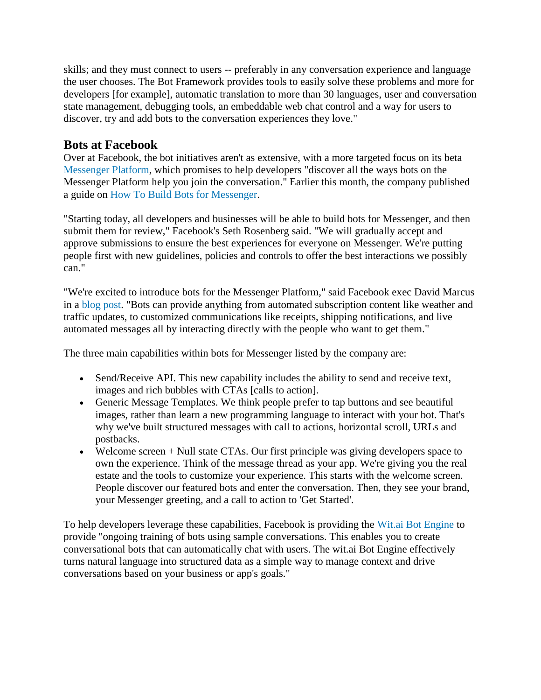skills; and they must connect to users -- preferably in any conversation experience and language the user chooses. The Bot Framework provides tools to easily solve these problems and more for developers [for example], automatic translation to more than 30 languages, user and conversation state management, debugging tools, an embeddable web chat control and a way for users to discover, try and add bots to the conversation experiences they love."

### **Bots at Facebook**

Over at Facebook, the bot initiatives aren't as extensive, with a more targeted focus on its beta [Messenger Platform,](https://messengerplatform.fb.com/) which promises to help developers "discover all the ways bots on the Messenger Platform help you join the conversation." Earlier this month, the company published a guide on [How To Build Bots for Messenger.](https://developers.facebook.com/blog/post/2016/04/12/bots-for-messenger/)

"Starting today, all developers and businesses will be able to build bots for Messenger, and then submit them for review," Facebook's Seth Rosenberg said. "We will gradually accept and approve submissions to ensure the best experiences for everyone on Messenger. We're putting people first with new guidelines, policies and controls to offer the best interactions we possibly can."

"We're excited to introduce bots for the Messenger Platform," said Facebook exec David Marcus in a [blog post.](http://newsroom.fb.com/news/2016/04/messenger-platform-at-f8/) "Bots can provide anything from automated subscription content like weather and traffic updates, to customized communications like receipts, shipping notifications, and live automated messages all by interacting directly with the people who want to get them."

The three main capabilities within bots for Messenger listed by the company are:

- Send/Receive API. This new capability includes the ability to send and receive text, images and rich bubbles with CTAs [calls to action].
- Generic Message Templates. We think people prefer to tap buttons and see beautiful images, rather than learn a new programming language to interact with your bot. That's why we've built structured messages with call to actions, horizontal scroll, URLs and postbacks.
- Welcome screen + Null state CTAs. Our first principle was giving developers space to own the experience. Think of the message thread as your app. We're giving you the real estate and the tools to customize your experience. This starts with the welcome screen. People discover our featured bots and enter the conversation. Then, they see your brand, your Messenger greeting, and a call to action to 'Get Started'.

To help developers leverage these capabilities, Facebook is providing the [Wit.ai Bot Engine](https://wit.ai/blog/2016/04/12/bot-engine) to provide "ongoing training of bots using sample conversations. This enables you to create conversational bots that can automatically chat with users. The wit.ai Bot Engine effectively turns natural language into structured data as a simple way to manage context and drive conversations based on your business or app's goals."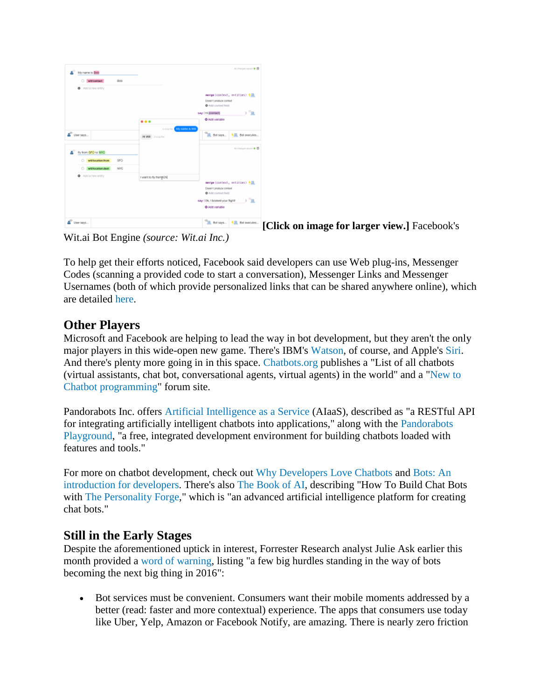| <b>Telling</b> C<br><b>Bob</b> |                         |                                                |
|--------------------------------|-------------------------|------------------------------------------------|
| @ Add a new entry              |                         |                                                |
|                                |                         | merge (context, entities) 4.0                  |
|                                |                         | Doesn't produce context                        |
|                                |                         | <b>C</b> Add contact field                     |
|                                |                         | 光性<br>say (Hi (contact)                        |
|                                |                         | C Acid variable                                |
|                                |                         | <b>ELECTRON MANAGEMENT</b>                     |
| <sup>2</sup> User sect         | <b>NEWER ASSESSED</b>   | <b>B.</b> Bottops<br>4回, Bot.essoutes          |
| fly from 5PO to MYD            |                         | Al changes sound # 8                           |
| 680<br>whiteasteriling         |                         |                                                |
| <b>NYC</b><br>welcominated     |                         |                                                |
| @ Add a new entry              | I want to by transpire) |                                                |
|                                |                         | merge (context, entities) 4.22                 |
|                                |                         | Doesn't produce contest<br>@ Add-contact field |
|                                |                         |                                                |
|                                |                         | 八進<br>say (Ok. 1100hol your fight)             |
|                                |                         | O Add variable                                 |

**[Click on image for larger view.]** Facebook's

Wit.ai Bot Engine *(source: Wit.ai Inc.)*

To help get their efforts noticed, Facebook said developers can use Web plug-ins, Messenger Codes (scanning a provided code to start a conversation), Messenger Links and Messenger Usernames (both of which provide personalized links that can be shared anywhere online), which are detailed [here.](https://www.facebook.com/messenger/posts/930151277104553)

### **Other Players**

Microsoft and Facebook are helping to lead the way in bot development, but they aren't the only major players in this wide-open new game. There's IBM's [Watson,](http://www.ibm.com/smarterplanet/us/en/ibmwatson/) of course, and Apple's [Siri.](http://www.apple.com/ios/siri/) And there's plenty more going in in this space. [Chatbots.org](https://www.chatbots.org/) publishes a "List of all chatbots (virtual assistants, chat bot, conversational agents, virtual agents) in the world" and a ["New to](https://www.chatbots.org/ai_zone/viewforum/35/)  [Chatbot programming"](https://www.chatbots.org/ai_zone/viewforum/35/) forum site.

Pandorabots Inc. offers [Artificial Intelligence as a Service](https://developer.pandorabots.com/) (AIaaS), described as "a RESTful API for integrating artificially intelligent chatbots into applications," along with the [Pandorabots](https://playground.pandorabots.com/)  [Playground,](https://playground.pandorabots.com/) "a free, integrated development environment for building chatbots loaded with features and tools."

For more on chatbot development, check out [Why Developers Love Chatbots](https://chatbotweekly.com/why-developers-love-chatbots-b4ce53d0c6a0#.2o7l7eqx4) and [Bots: An](https://core.telegram.org/bots)  [introduction for developers.](https://core.telegram.org/bots) There's also [The Book of AI,](http://www.personalityforge.com/book.php) describing "How To Build Chat Bots with [The Personality Forge,](http://www.personalityforge.com/)" which is "an advanced artificial intelligence platform for creating chat bots."

# **Still in the Early Stages**

Despite the aforementioned uptick in interest, Forrester Research analyst Julie Ask earlier this month provided a [word of warning,](http://blogs.forrester.com/julie_ask/16-04-11-bots_the_next_big_thing_in_mobile_not_so_fast) listing "a few big hurdles standing in the way of bots becoming the next big thing in 2016":

 Bot services must be convenient. Consumers want their mobile moments addressed by a better (read: faster and more contextual) experience. The apps that consumers use today like Uber, Yelp, Amazon or Facebook Notify, are amazing. There is nearly zero friction